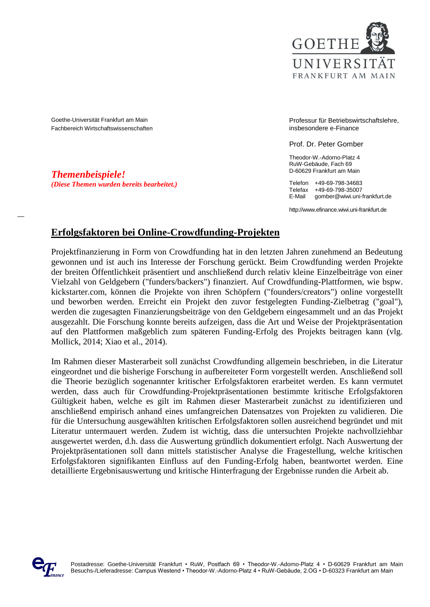

Goethe-Universität Frankfurt am Main Fachbereich Wirtschaftswissenschaften

*Themenbeispiele! (Diese Themen wurden bereits bearbeitet.)* Professur für Betriebswirtschaftslehre, insbesondere e-Finance

Prof. Dr. Peter Gomber

Theodor-W.-Adorno-Platz 4 RuW-Gebäude, Fach 69 D-60629 Frankfurt am Main

Telefon +49-69-798-34683 Telefax +49-69-798-35007<br>F-Mail gomber@wiwi.uniaomber@wiwi.uni-frankfurt.de

http://www.efinance.wiwi.uni-frankfurt.de

### **Erfolgsfaktoren bei Online-Crowdfunding-Projekten**

Projektfinanzierung in Form von Crowdfunding hat in den letzten Jahren zunehmend an Bedeutung gewonnen und ist auch ins Interesse der Forschung gerückt. Beim Crowdfunding werden Projekte der breiten Öffentlichkeit präsentiert und anschließend durch relativ kleine Einzelbeiträge von einer Vielzahl von Geldgebern ("funders/backers") finanziert. Auf Crowdfunding-Plattformen, wie bspw. kickstarter.com, können die Projekte von ihren Schöpfern ("founders/creators") online vorgestellt und beworben werden. Erreicht ein Projekt den zuvor festgelegten Funding-Zielbetrag ("goal"), werden die zugesagten Finanzierungsbeiträge von den Geldgebern eingesammelt und an das Projekt ausgezahlt. Die Forschung konnte bereits aufzeigen, dass die Art und Weise der Projektpräsentation auf den Plattformen maßgeblich zum späteren Funding-Erfolg des Projekts beitragen kann (vlg. Mollick, 2014; Xiao et al., 2014).

Im Rahmen dieser Masterarbeit soll zunächst Crowdfunding allgemein beschrieben, in die Literatur eingeordnet und die bisherige Forschung in aufbereiteter Form vorgestellt werden. Anschließend soll die Theorie bezüglich sogenannter kritischer Erfolgsfaktoren erarbeitet werden. Es kann vermutet werden, dass auch für Crowdfunding-Projektpräsentationen bestimmte kritische Erfolgsfaktoren Gültigkeit haben, welche es gilt im Rahmen dieser Masterarbeit zunächst zu identifizieren und anschließend empirisch anhand eines umfangreichen Datensatzes von Projekten zu validieren. Die für die Untersuchung ausgewählten kritischen Erfolgsfaktoren sollen ausreichend begründet und mit Literatur untermauert werden. Zudem ist wichtig, dass die untersuchten Projekte nachvollziehbar ausgewertet werden, d.h. dass die Auswertung gründlich dokumentiert erfolgt. Nach Auswertung der Projektpräsentationen soll dann mittels statistischer Analyse die Fragestellung, welche kritischen Erfolgsfaktoren signifikanten Einfluss auf den Funding-Erfolg haben, beantwortet werden. Eine detaillierte Ergebnisauswertung und kritische Hinterfragung der Ergebnisse runden die Arbeit ab.

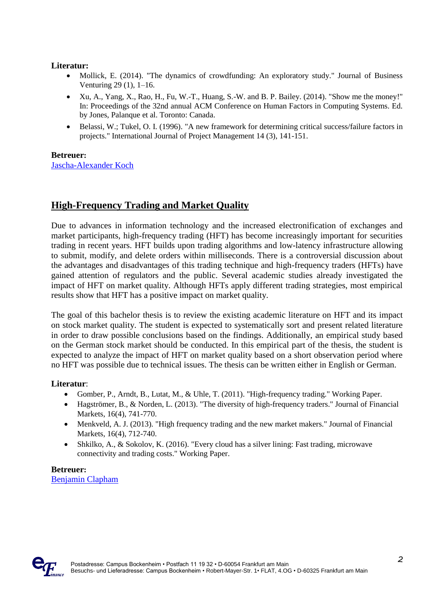#### **Literatur:**

- Mollick, E. (2014). "The dynamics of crowdfunding: An exploratory study." Journal of Business Venturing 29 (1), 1–16.
- Xu, A., Yang, X., Rao, H., Fu, W.-T., Huang, S.-W. and B. P. Bailey. (2014). "Show me the money!" In: Proceedings of the 32nd annual ACM Conference on Human Factors in Computing Systems. Ed. by Jones, Palanque et al. Toronto: Canada.
- Belassi, W.; Tukel, O. I. (1996). "A new framework for determining critical success/failure factors in projects." International Journal of Project Management 14 (3), 141-151.

#### **Betreuer:**

[Jascha-Alexander Koch](mailto:jaskoch@wiwi.uni-frankfurt.de)

## **High-Frequency Trading and Market Quality**

Due to advances in information technology and the increased electronification of exchanges and market participants, high-frequency trading (HFT) has become increasingly important for securities trading in recent years. HFT builds upon trading algorithms and low-latency infrastructure allowing to submit, modify, and delete orders within milliseconds. There is a controversial discussion about the advantages and disadvantages of this trading technique and high-frequency traders (HFTs) have gained attention of regulators and the public. Several academic studies already investigated the impact of HFT on market quality. Although HFTs apply different trading strategies, most empirical results show that HFT has a positive impact on market quality.

The goal of this bachelor thesis is to review the existing academic literature on HFT and its impact on stock market quality. The student is expected to systematically sort and present related literature in order to draw possible conclusions based on the findings. Additionally, an empirical study based on the German stock market should be conducted. In this empirical part of the thesis, the student is expected to analyze the impact of HFT on market quality based on a short observation period where no HFT was possible due to technical issues. The thesis can be written either in English or German.

#### **Literatur**:

- Gomber, P., Arndt, B., Lutat, M., & Uhle, T. (2011). "High-frequency trading." Working Paper.
- Hagströmer, B., & Norden, L. (2013). "The diversity of high-frequency traders." Journal of Financial Markets, 16(4), 741-770.
- Menkveld, A. J. (2013). "High frequency trading and the new market makers." Journal of Financial Markets, 16(4), 712-740.
- Shkilko, A., & Sokolov, K. (2016). "Every cloud has a silver lining: Fast trading, microwave connectivity and trading costs." Working Paper.

**Betreuer:** [Benjamin Clapham](mailto:clapham@wiwi.uni-frankfurt.de)

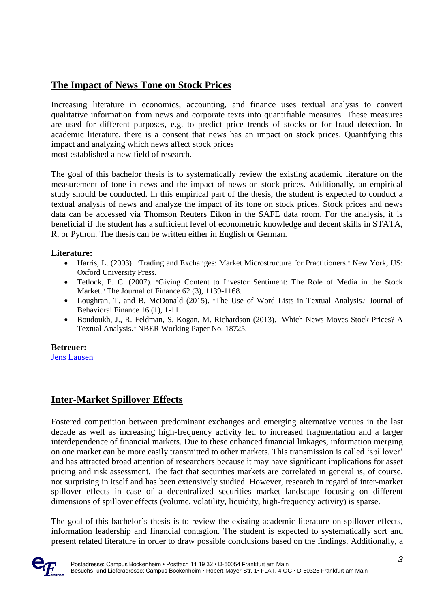# **The Impact of News Tone on Stock Prices**

Increasing literature in economics, accounting, and finance uses textual analysis to convert qualitative information from news and corporate texts into quantifiable measures. These measures are used for different purposes, e.g. to predict price trends of stocks or for fraud detection. In academic literature, there is a consent that news has an impact on stock prices. Quantifying this impact and analyzing which news affect stock prices most established a new field of research.

The goal of this bachelor thesis is to systematically review the existing academic literature on the measurement of tone in news and the impact of news on stock prices. Additionally, an empirical study should be conducted. In this empirical part of the thesis, the student is expected to conduct a textual analysis of news and analyze the impact of its tone on stock prices. Stock prices and news data can be accessed via Thomson Reuters Eikon in the SAFE data room. For the analysis, it is beneficial if the student has a sufficient level of econometric knowledge and decent skills in STATA, R, or Python. The thesis can be written either in English or German.

#### **Literature:**

- Harris, L. (2003). "Trading and Exchanges: Market Microstructure for Practitioners." New York, US: Oxford University Press.
- Tetlock, P. C. (2007). "Giving Content to Investor Sentiment: The Role of Media in the Stock Market." The Journal of Finance 62 (3), 1139-1168.
- Loughran, T. and B. McDonald (2015). "The Use of Word Lists in Textual Analysis." Journal of Behavioral Finance 16 (1), 1-11.
- Boudoukh, J., R. Feldman, S. Kogan, M. Richardson (2013). "Which News Moves Stock Prices? A Textual Analysis." NBER Working Paper No. 18725.

#### **Betreuer:**

[Jens Lausen](mailto:lausen@wiwi.uni-frankfurt.de)

## **Inter-Market Spillover Effects**

Fostered competition between predominant exchanges and emerging alternative venues in the last decade as well as increasing high-frequency activity led to increased fragmentation and a larger interdependence of financial markets. Due to these enhanced financial linkages, information merging on one market can be more easily transmitted to other markets. This transmission is called 'spillover' and has attracted broad attention of researchers because it may have significant implications for asset pricing and risk assessment. The fact that securities markets are correlated in general is, of course, not surprising in itself and has been extensively studied. However, research in regard of inter-market spillover effects in case of a decentralized securities market landscape focusing on different dimensions of spillover effects (volume, volatility, liquidity, high-frequency activity) is sparse.

The goal of this bachelor's thesis is to review the existing academic literature on spillover effects, information leadership and financial contagion. The student is expected to systematically sort and present related literature in order to draw possible conclusions based on the findings. Additionally, a